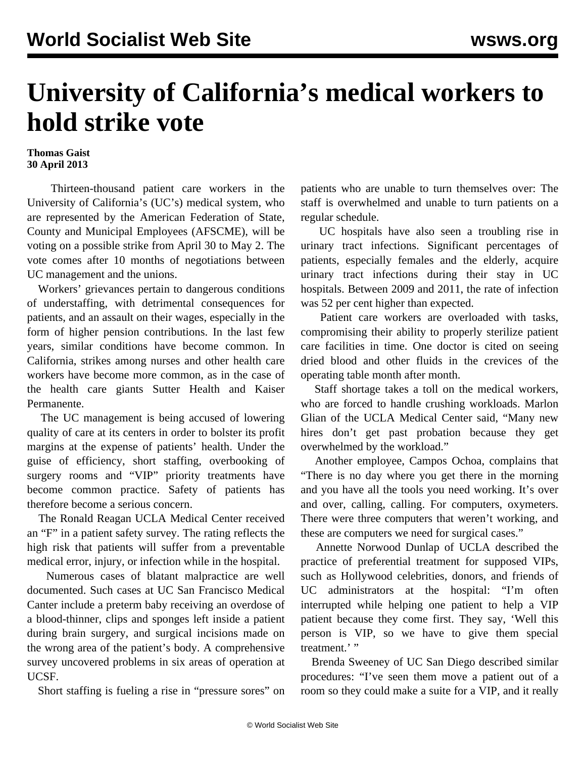## **University of California's medical workers to hold strike vote**

## **Thomas Gaist 30 April 2013**

 Thirteen-thousand patient care workers in the University of California's (UC's) medical system, who are represented by the American Federation of State, County and Municipal Employees (AFSCME), will be voting on a possible strike from April 30 to May 2. The vote comes after 10 months of negotiations between UC management and the unions.

 Workers' grievances pertain to dangerous conditions of understaffing, with detrimental consequences for patients, and an assault on their wages, especially in the form of higher pension contributions. In the last few years, similar conditions have become common. In California, strikes among nurses and other health care workers have become more common, as in the case of the health care giants Sutter Health and Kaiser Permanente.

 The UC management is being accused of lowering quality of care at its centers in order to bolster its profit margins at the expense of patients' health. Under the guise of efficiency, short staffing, overbooking of surgery rooms and "VIP" priority treatments have become common practice. Safety of patients has therefore become a serious concern.

 The Ronald Reagan UCLA Medical Center received an "F" in a patient safety survey. The rating reflects the high risk that patients will suffer from a preventable medical error, injury, or infection while in the hospital.

 Numerous cases of blatant malpractice are well documented. Such cases at UC San Francisco Medical Canter include a preterm baby receiving an overdose of a blood-thinner, clips and sponges left inside a patient during brain surgery, and surgical incisions made on the wrong area of the patient's body. A comprehensive survey uncovered problems in six areas of operation at UCSF.

Short staffing is fueling a rise in "pressure sores" on

patients who are unable to turn themselves over: The staff is overwhelmed and unable to turn patients on a regular schedule.

 UC hospitals have also seen a troubling rise in urinary tract infections. Significant percentages of patients, especially females and the elderly, acquire urinary tract infections during their stay in UC hospitals. Between 2009 and 2011, the rate of infection was 52 per cent higher than expected.

 Patient care workers are overloaded with tasks, compromising their ability to properly sterilize patient care facilities in time. One doctor is cited on seeing dried blood and other fluids in the crevices of the operating table month after month.

 Staff shortage takes a toll on the medical workers, who are forced to handle crushing workloads. Marlon Glian of the UCLA Medical Center said, "Many new hires don't get past probation because they get overwhelmed by the workload."

 Another employee, Campos Ochoa, complains that "There is no day where you get there in the morning and you have all the tools you need working. It's over and over, calling, calling. For computers, oxymeters. There were three computers that weren't working, and these are computers we need for surgical cases."

 Annette Norwood Dunlap of UCLA described the practice of preferential treatment for supposed VIPs, such as Hollywood celebrities, donors, and friends of UC administrators at the hospital: "I'm often interrupted while helping one patient to help a VIP patient because they come first. They say, 'Well this person is VIP, so we have to give them special treatment.' "

 Brenda Sweeney of UC San Diego described similar procedures: "I've seen them move a patient out of a room so they could make a suite for a VIP, and it really